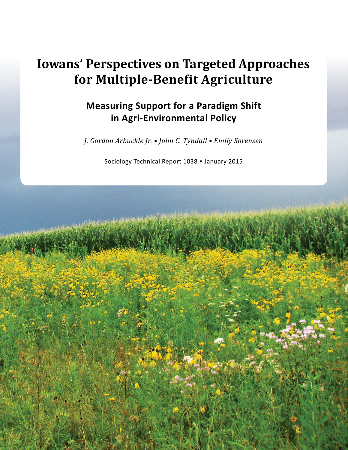# **Iowans' Perspectives on Targeted Approaches for Multiple-Benefit Agriculture**

## **Measuring Support for a Paradigm Shift in Agri-Environmental Policy**

*J. Gordon Arbuckle Jr. • John C. Tyndall • Emily Sorensen*

Sociology Technical Report 1038 • January 2015

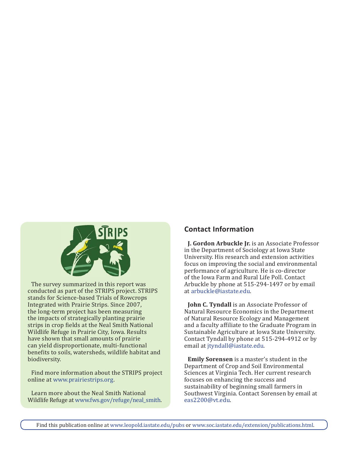

The survey summarized in this report was conducted as part of the STRIPS project. STRIPS stands for Science-based Trials of Rowcrops Integrated with Prairie Strips. Since 2007, the long-term project has been measuring the impacts of strategically planting prairie strips in crop fields at the Neal Smith National Wildlife Refuge in Prairie City, Iowa. Results have shown that small amounts of prairie can yield disproportionate, multi-functional benefits to soils, watersheds, wildlife habitat and biodiversity.

Find more information about the STRIPS project online at www.prairiestrips.org.

Learn more about the Neal Smith National Wildlife Refuge at www.fws.gov/refuge/neal\_smith.

## **Contact Information**

**J. Gordon Arbuckle Jr.** is an Associate Professor in the Department of Sociology at Iowa State University. His research and extension activities focus on improving the social and environmental performance of agriculture. He is co-director of the Iowa Farm and Rural Life Poll. Contact Arbuckle by phone at 515-294-1497 or by email at arbuckle@iastate.edu.

**John C. Tyndall** is an Associate Professor of Natural Resource Economics in the Department of Natural Resource Ecology and Management and a faculty affiliate to the Graduate Program in Sustainable Agriculture at Iowa State University. Contact Tyndall by phone at 515-294-4912 or by email at jtyndall@iastate.edu.

**Emily Sorensen** is a master's student in the Department of Crop and Soil Environmental Sciences at Virginia Tech. Her current research focuses on enhancing the success and sustainability of beginning small farmers in Southwest Virginia. Contact Sorensen by email at eas2200@vt.edu.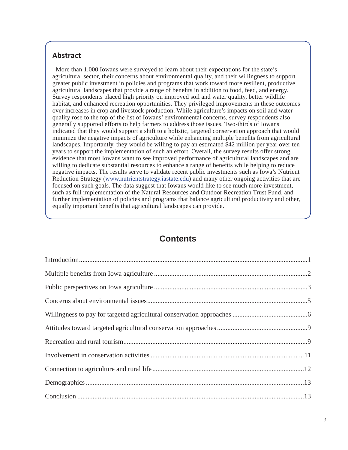## **Abstract**

More than 1,000 Iowans were surveyed to learn about their expectations for the state's agricultural sector, their concerns about environmental quality, and their willingness to support greater public investment in policies and programs that work toward more resilient, productive agricultural landscapes that provide a range of benefits in addition to food, feed, and energy. Survey respondents placed high priority on improved soil and water quality, better wildlife habitat, and enhanced recreation opportunities. They privileged improvements in these outcomes over increases in crop and livestock production. While agriculture's impacts on soil and water quality rose to the top of the list of Iowans' environmental concerns, survey respondents also generally supported efforts to help farmers to address those issues. Two-thirds of Iowans indicated that they would support a shift to a holistic, targeted conservation approach that would minimize the negative impacts of agriculture while enhancing multiple benefits from agricultural landscapes. Importantly, they would be willing to pay an estimated \$42 million per year over ten years to support the implementation of such an effort. Overall, the survey results offer strong evidence that most Iowans want to see improved performance of agricultural landscapes and are willing to dedicate substantial resources to enhance a range of benefits while helping to reduce negative impacts. The results serve to validate recent public investments such as Iowa's Nutrient Reduction Strategy (www.nutrientstrategy.iastate.edu) and many other ongoing activities that are focused on such goals. The data suggest that Iowans would like to see much more investment, such as full implementation of the Natural Resources and Outdoor Recreation Trust Fund, and further implementation of policies and programs that balance agricultural productivity and other, equally important benefits that agricultural landscapes can provide.

## **Contents**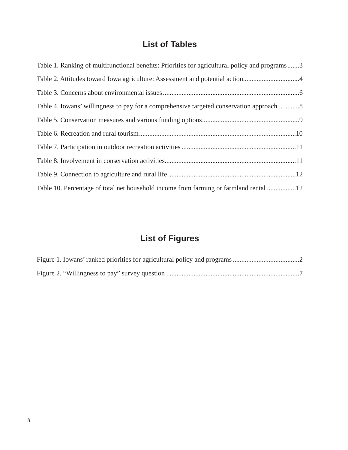## **List of Tables**

| Table 1. Ranking of multifunctional benefits: Priorities for agricultural policy and programs3 |
|------------------------------------------------------------------------------------------------|
| Table 2. Attitudes toward Iowa agriculture: Assessment and potential action4                   |
|                                                                                                |
| Table 4. Iowans' willingness to pay for a comprehensive targeted conservation approach         |
|                                                                                                |
|                                                                                                |
|                                                                                                |
|                                                                                                |
|                                                                                                |
| Table 10. Percentage of total net household income from farming or farmland rental 12          |

## **List of Figures**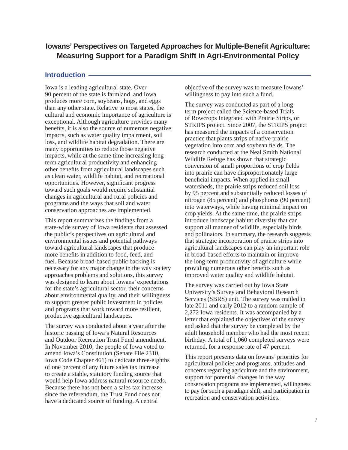## **Iowans' Perspectives on Targeted Approaches for Multiple-Benefi t Agriculture: Measuring Support for a Paradigm Shift in Agri-Environmental Policy**

#### **Introduction**

Iowa is a leading agricultural state. Over 90 percent of the state is farmland, and Iowa produces more corn, soybeans, hogs, and eggs than any other state. Relative to most states, the cultural and economic importance of agriculture is exceptional. Although agriculture provides many benefits, it is also the source of numerous negative impacts, such as water quality impairment, soil loss, and wildlife habitat degradation. There are many opportunities to reduce those negative impacts, while at the same time increasing longterm agricultural productivity and enhancing other benefits from agricultural landscapes such as clean water, wildlife habitat, and recreational opportunities. However, significant progress toward such goals would require substantial changes in agricultural and rural policies and programs and the ways that soil and water conservation approaches are implemented.

This report summarizes the findings from a state-wide survey of Iowa residents that assessed the public's perspectives on agricultural and environmental issues and potential pathways toward agricultural landscapes that produce more benefits in addition to food, feed, and fuel. Because broad-based public backing is necessary for any major change in the way society approaches problems and solutions, this survey was designed to learn about Iowans' expectations for the state's agricultural sector, their concerns about environmental quality, and their willingness to support greater public investment in policies and programs that work toward more resilient, productive agricultural landscapes.

The survey was conducted about a year after the historic passing of Iowa's Natural Resources and Outdoor Recreation Trust Fund amendment. In November 2010, the people of Iowa voted to amend Iowa's Constitution (Senate File 2310, Iowa Code Chapter 461) to dedicate three-eighths of one percent of any future sales tax increase to create a stable, statutory funding source that would help Iowa address natural resource needs. Because there has not been a sales tax increase since the referendum, the Trust Fund does not have a dedicated source of funding. A central

objective of the survey was to measure Iowans' willingness to pay into such a fund.

The survey was conducted as part of a longterm project called the Science-based Trials of Rowcrops Integrated with Prairie Strips, or STRIPS project. Since 2007, the STRIPS project has measured the impacts of a conservation practice that plants strips of native prairie vegetation into corn and soybean fields. The research conducted at the Neal Smith National Wildlife Refuge has shown that strategic conversion of small proportions of crop fields into prairie can have disproportionately large beneficial impacts. When applied in small watersheds, the prairie strips reduced soil loss by 95 percent and substantially reduced losses of nitrogen (85 percent) and phosphorus (90 percent) into waterways, while having minimal impact on crop yields. At the same time, the prairie strips introduce landscape habitat diversity that can support all manner of wildlife, especially birds and pollinators. In summary, the research suggests that strategic incorporation of prairie strips into agricultural landscapes can play an important role in broad-based efforts to maintain or improve the long-term productivity of agriculture while providing numerous other benefits such as improved water quality and wildlife habitat.

The survey was carried out by Iowa State University's Survey and Behavioral Research Services (SBRS) unit. The survey was mailed in late 2011 and early 2012 to a random sample of 2,272 Iowa residents. It was accompanied by a letter that explained the objectives of the survey and asked that the survey be completed by the adult household member who had the most recent birthday. A total of 1,060 completed surveys were returned, for a response rate of 47 percent.

This report presents data on Iowans' priorities for agricultural policies and programs, attitudes and concerns regarding agriculture and the environment, support for potential changes in the way conservation programs are implemented, willingness to pay for such a paradigm shift, and participation in recreation and conservation activities.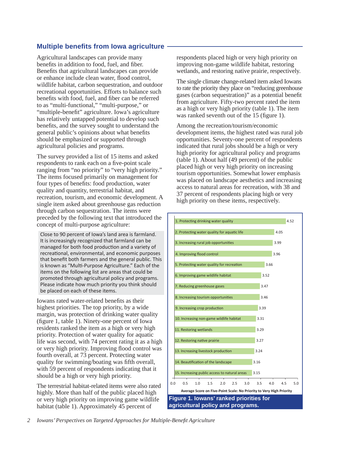## **Multiple benefits from Iowa agriculture**

Agricultural landscapes can provide many benefits in addition to food, fuel, and fiber. Benefits that agricultural landscapes can provide or enhance include clean water, flood control, wildlife habitat, carbon sequestration, and outdoor recreational opportunities. Efforts to balance such benefits with food, fuel, and fiber can be referred to as "multi-functional," "multi-purpose," or "multiple-benefit" agriculture. Iowa's agriculture has relatively untapped potential to develop such benefits, and the survey sought to understand the general public's opinions about what benefits should be emphasized or supported through agricultural policies and programs.

The survey provided a list of 15 items and asked respondents to rank each on a five-point scale ranging from "no priority" to "very high priority." The items focused primarily on management for four types of benefits: food production, water quality and quantity, terrestrial habitat, and recreation, tourism, and economic development. A single item asked about greenhouse gas reduction through carbon sequestration. The items were preceded by the following text that introduced the concept of multi-purpose agriculture:

Close to 90 percent of Iowa's land area is farmland. It is increasingly recognized that farmland can be managed for both food production and a variety of recreational, environmental, and economic purposes that benefit both farmers and the general public. This is known as "Multi-Purpose Agriculture." Each of the items on the following list are areas that could be promoted through agricultural policy and programs. Please indicate how much priority you think should be placed on each of these items.

Iowans rated water-related benefits as their highest priorities. The top priority, by a wide margin, was protection of drinking water quality (figure 1, table 1). Ninety-one percent of Iowa residents ranked the item as a high or very high priority. Protection of water quality for aquatic life was second, with 74 percent rating it as a high or very high priority. Improving flood control was fourth overall, at 73 percent. Protecting water quality for swimming/boating was fifth overall, with 59 percent of respondents indicating that it should be a high or very high priority.

The terrestrial habitat-related items were also rated highly. More than half of the public placed high or very high priority on improving game wildlife habitat (table 1). Approximately 45 percent of

respondents placed high or very high priority on improving non-game wildlife habitat, restoring wetlands, and restoring native prairie, respectively.

The single climate change-related item asked Iowans to rate the priority they place on "reducing greenhouse gases (carbon sequestration)" as a potential benefit from agriculture. Fifty-two percent rated the item as a high or very high priority (table 1). The item was ranked seventh out of the 15 (figure 1).

Among the recreation/tourism/economic development items, the highest rated was rural job opportunities. Seventy-one percent of respondents indicated that rural jobs should be a high or very high priority for agricultural policy and programs (table 1). About half (49 percent) of the public placed high or very high priority on increasing tourism opportunities. Somewhat lower emphasis was placed on landscape aesthetics and increasing access to natural areas for recreation, with 38 and 37 percent of respondents placing high or very high priority on these items, respectively.

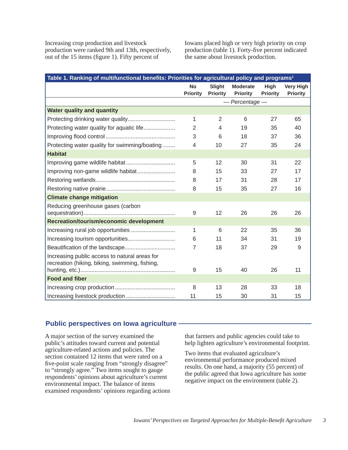Increasing crop production and livestock production were ranked 9th and 13th, respectively, out of the  $15$  items (figure 1). Fifty percent of

Iowans placed high or very high priority on crop production (table 1). Forty-five percent indicated the same about livestock production.

| Table 1. Ranking of multifunctional benefits: Priorities for agricultural policy and programs <sup>1</sup> |                           |                                    |                         |                                     |  |  |
|------------------------------------------------------------------------------------------------------------|---------------------------|------------------------------------|-------------------------|-------------------------------------|--|--|
| <b>No</b><br><b>Priority</b>                                                                               | Slight<br><b>Priority</b> | <b>Moderate</b><br><b>Priority</b> | High<br><b>Priority</b> | <b>Very High</b><br><b>Priority</b> |  |  |
| $-$ Percentage $-$                                                                                         |                           |                                    |                         |                                     |  |  |
|                                                                                                            |                           |                                    |                         |                                     |  |  |
| $\mathbf{1}$                                                                                               | 2                         | $6\phantom{1}6$                    | 27                      | 65                                  |  |  |
| $\overline{2}$                                                                                             | 4                         | 19                                 | 35                      | 40                                  |  |  |
| 3                                                                                                          | 6                         | 18                                 | 37                      | 36                                  |  |  |
| $\overline{4}$                                                                                             | 10                        | 27                                 | 35                      | 24                                  |  |  |
|                                                                                                            |                           |                                    |                         |                                     |  |  |
| 5                                                                                                          | 12                        | 30                                 | 31                      | 22                                  |  |  |
| 8                                                                                                          | 15                        | 33                                 | 27                      | 17                                  |  |  |
| 8                                                                                                          | 17                        | 31                                 | 28                      | 17                                  |  |  |
| 8                                                                                                          | 15                        | 35                                 | 27                      | 16                                  |  |  |
|                                                                                                            |                           |                                    |                         |                                     |  |  |
| 9                                                                                                          | 12                        | 26                                 | 26                      | 26                                  |  |  |
|                                                                                                            |                           |                                    |                         |                                     |  |  |
| 1                                                                                                          | 6                         | 22                                 | 35                      | 36                                  |  |  |
| 6                                                                                                          | 11                        | 34                                 | 31                      | 19                                  |  |  |
| $\overline{7}$                                                                                             | 18                        | 37                                 | 29                      | 9                                   |  |  |
|                                                                                                            |                           |                                    |                         | 11                                  |  |  |
|                                                                                                            |                           |                                    |                         |                                     |  |  |
|                                                                                                            |                           |                                    |                         | 18                                  |  |  |
|                                                                                                            |                           |                                    |                         | 15                                  |  |  |
|                                                                                                            | 9<br>8<br>11              | 15<br>13<br>15                     | 40<br>28<br>30          | 26<br>33<br>31                      |  |  |

#### **Public perspectives on Iowa agriculture**

A major section of the survey examined the public's attitudes toward current and potential agriculture-related actions and policies. The section contained 12 items that were rated on a five-point scale ranging from "strongly disagree" to "strongly agree." Two items sought to gauge respondents' opinions about agriculture's current environmental impact. The balance of items examined respondents' opinions regarding actions that farmers and public agencies could take to help lighten agriculture's environmental footprint.

Two items that evaluated agriculture's environmental performance produced mixed results. On one hand, a majority (55 percent) of the public agreed that Iowa agriculture has some negative impact on the environment (table 2).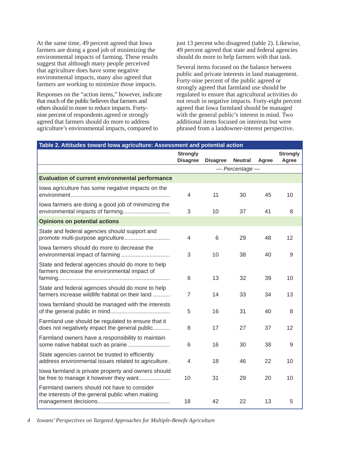At the same time, 49 percent agreed that Iowa farmers are doing a good job of minimizing the environmental impacts of farming. These results suggest that although many people perceived that agriculture does have some negative environmental impacts, many also agreed that farmers are working to minimize those impacts.

Responses on the "action items," however, indicate that much of the public believes that farmers and others should to more to reduce impacts. Fortynine percent of respondents agreed or strongly agreed that farmers should do more to address agriculture's environmental impacts, compared to

just 13 percent who disagreed (table 2). Likewise, 49 percent agreed that state and federal agencies should do more to help farmers with that task.

Several items focused on the balance between public and private interests in land management. Forty-nine percent of the public agreed or strongly agreed that farmland use should be regulated to ensure that agricultural activities do not result in negative impacts. Forty-eight percent agreed that Iowa farmland should be managed with the general public's interest in mind. Two additional items focused on interests but were phrased from a landowner-interest perspective.

| Table 2. Attitudes toward lowa agriculture: Assessment and potential action                             |                 |                 |                    |       |                 |
|---------------------------------------------------------------------------------------------------------|-----------------|-----------------|--------------------|-------|-----------------|
|                                                                                                         | <b>Strongly</b> |                 |                    |       | <b>Strongly</b> |
|                                                                                                         | <b>Disagree</b> | <b>Disagree</b> | <b>Neutral</b>     | Agree | Agree           |
|                                                                                                         |                 |                 | $-$ Percentage $-$ |       |                 |
| <b>Evaluation of current environmental performance</b>                                                  |                 |                 |                    |       |                 |
| lowa agriculture has some negative impacts on the                                                       | $\overline{4}$  | 11              | 30                 | 45    | 10              |
| lowa farmers are doing a good job of minimizing the<br>environmental impacts of farming                 | $\sqrt{3}$      | 10              | 37                 | 41    | 8               |
| <b>Opinions on potential actions</b>                                                                    |                 |                 |                    |       |                 |
| State and federal agencies should support and<br>promote multi-purpose agriculture                      | $\overline{4}$  | 6               | 29                 | 48    | 12              |
| lowa farmers should do more to decrease the<br>environmental impact of farming                          | 3               | 10              | 38                 | 40    | 9               |
| State and federal agencies should do more to help<br>farmers decrease the environmental impact of       | 6               | 13              | 32                 | 39    | 10              |
| State and federal agencies should do more to help<br>farmers increase wildlife habitat on their land    | $\overline{7}$  | 14              | 33                 | 34    | 13              |
| lowa farmland should be managed with the interests                                                      | 5               | 16              | 31                 | 40    | 8               |
| Farmland use should be regulated to ensure that it<br>does not negatively impact the general public     | 8               | 17              | 27                 | 37    | 12              |
| Farmland owners have a responsibility to maintain                                                       | 6               | 16              | 30                 | 38    | 9               |
| State agencies cannot be trusted to efficiently<br>address environmental issues related to agriculture. | $\overline{4}$  | 18              | 46                 | 22    | 10              |
| lowa farmland is private property and owners should<br>be free to manage it however they want           | 10              | 31              | 29                 | 20    | 10              |
| Farmland owners should not have to consider<br>the interests of the general public when making          | 18              | 42              | 22                 | 13    | 5               |

*4 Iowans' Perspectives on Targeted Approaches for Multiple-Benefi t Agriculture*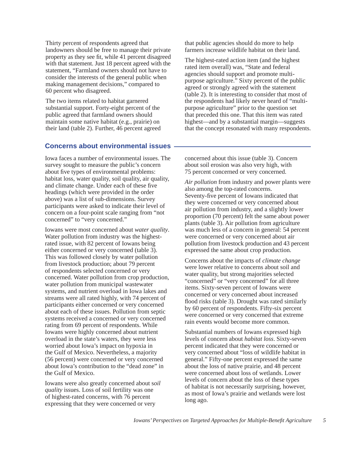Thirty percent of respondents agreed that landowners should be free to manage their private property as they see fit, while 41 percent disagreed with that statement. Just 18 percent agreed with the statement, "Farmland owners should not have to consider the interests of the general public when making management decisions," compared to 60 percent who disagreed.

The two items related to habitat garnered substantial support. Forty-eight percent of the public agreed that farmland owners should maintain some native habitat (e.g., prairie) on their land (table 2). Further, 46 percent agreed that public agencies should do more to help farmers increase wildlife habitat on their land.

The highest-rated action item (and the highest rated item overall) was, "State and federal agencies should support and promote multipurpose agriculture." Sixty percent of the public agreed or strongly agreed with the statement (table 2). It is interesting to consider that most of the respondents had likely never heard of "multipurpose agriculture" prior to the question set that preceded this one. That this item was rated highest—and by a substantial margin—suggests that the concept resonated with many respondents.

#### **Concerns about environmental issues**

Iowa faces a number of environmental issues. The survey sought to measure the public's concern about five types of environmental problems: habitat loss, water quality, soil quality, air quality, and climate change. Under each of these five headings (which were provided in the order above) was a list of sub-dimensions. Survey participants were asked to indicate their level of concern on a four-point scale ranging from "not concerned" to "very concerned."

Iowans were most concerned about *water quality*. Water pollution from industry was the highestrated issue, with 82 percent of Iowans being either concerned or very concerned (table 3). This was followed closely by water pollution from livestock production; about 79 percent of respondents selected concerned or very concerned. Water pollution from crop production, water pollution from municipal wastewater systems, and nutrient overload in Iowa lakes and streams were all rated highly, with 74 percent of participants either concerned or very concerned about each of these issues. Pollution from septic systems received a concerned or very concerned rating from 69 percent of respondents. While Iowans were highly concerned about nutrient overload in the state's waters, they were less worried about Iowa's impact on hypoxia in the Gulf of Mexico. Nevertheless, a majority (56 percent) were concerned or very concerned about Iowa's contribution to the "dead zone" in the Gulf of Mexico.

Iowans were also greatly concerned about s*oil quality* issues. Loss of soil fertility was one of highest-rated concerns, with 76 percent expressing that they were concerned or very

concerned about this issue (table 3). Concern about soil erosion was also very high, with 75 percent concerned or very concerned.

*Air pollution* from industry and power plants were also among the top-rated concerns. Seventy-five percent of Iowans indicated that they were concerned or very concerned about air pollution from industry, and a slightly lower proportion (70 percent) felt the same about power plants (table 3). Air pollution from agriculture was much less of a concern in general: 54 percent were concerned or very concerned about air pollution from livestock production and 43 percent expressed the same about crop production.

Concerns about the impacts of *climate change* were lower relative to concerns about soil and water quality, but strong majorities selected "concerned" or "very concerned" for all three items. Sixty-seven percent of Iowans were concerned or very concerned about increased flood risks (table 3). Drought was rated similarly by 60 percent of respondents. Fifty-six percent were concerned or very concerned that extreme rain events would become more common.

Substantial numbers of Iowans expressed high levels of concern about *habitat loss*. Sixty-seven percent indicated that they were concerned or very concerned about "loss of wildlife habitat in general." Fifty-one percent expressed the same about the loss of native prairie, and 48 percent were concerned about loss of wetlands. Lower levels of concern about the loss of these types of habitat is not necessarily surprising, however, as most of Iowa's prairie and wetlands were lost long ago.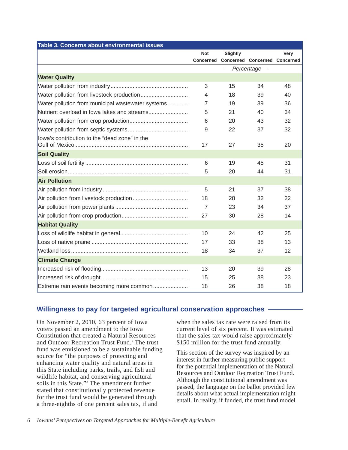| Table 3. Concerns about environmental issues      |                |          |                                      |      |
|---------------------------------------------------|----------------|----------|--------------------------------------|------|
|                                                   | <b>Not</b>     | Slightly |                                      | Very |
|                                                   | Concerned      |          | <b>Concerned Concerned Concerned</b> |      |
|                                                   |                |          | - Percentage -                       |      |
| <b>Water Quality</b>                              |                |          |                                      |      |
|                                                   | 3              | 15       | 34                                   | 48   |
|                                                   | 4              | 18       | 39                                   | 40   |
| Water pollution from municipal wastewater systems | 7              | 19       | 39                                   | 36   |
| Nutrient overload in Iowa lakes and streams       | 5              | 21       | 40                                   | 34   |
|                                                   | 6              | 20       | 43                                   | 32   |
|                                                   | 9              | 22       | 37                                   | 32   |
| lowa's contribution to the "dead zone" in the     |                |          |                                      |      |
|                                                   | 17             | 27       | 35                                   | 20   |
| <b>Soil Quality</b>                               |                |          |                                      |      |
|                                                   | 6              | 19       | 45                                   | 31   |
|                                                   | 5              | 20       | 44                                   | 31   |
| <b>Air Pollution</b>                              |                |          |                                      |      |
|                                                   | 5              | 21       | 37                                   | 38   |
|                                                   | 18             | 28       | 32                                   | 22   |
|                                                   | $\overline{7}$ | 23       | 34                                   | 37   |
|                                                   | 27             | 30       | 28                                   | 14   |
| <b>Habitat Quality</b>                            |                |          |                                      |      |
|                                                   | 10             | 24       | 42                                   | 25   |
|                                                   | 17             | 33       | 38                                   | 13   |
|                                                   | 18             | 34       | 37                                   | 12   |
| <b>Climate Change</b>                             |                |          |                                      |      |
|                                                   | 13             | 20       | 39                                   | 28   |
|                                                   | 15             | 25       | 38                                   | 23   |
| Extreme rain events becoming more common          | 18             | 26       | 38                                   | 18   |

## **Willingness to pay for targeted agricultural conservation approaches**

On November 2, 2010, 63 percent of Iowa voters passed an amendment to the Iowa Constitution that created a Natural Resources and Outdoor Recreation Trust Fund.<sup>2</sup> The trust fund was envisioned to be a sustainable funding source for "the purposes of protecting and enhancing water quality and natural areas in this State including parks, trails, and fish and wildlife habitat, and conserving agricultural soils in this State."3 The amendment further stated that constitutionally protected revenue for the trust fund would be generated through a three-eighths of one percent sales tax, if and

when the sales tax rate were raised from its current level of six percent. It was estimated that the sales tax would raise approximately \$150 million for the trust fund annually.

This section of the survey was inspired by an interest in further measuring public support for the potential implementation of the Natural Resources and Outdoor Recreation Trust Fund. Although the constitutional amendment was passed, the language on the ballot provided few details about what actual implementation might entail. In reality, if funded, the trust fund model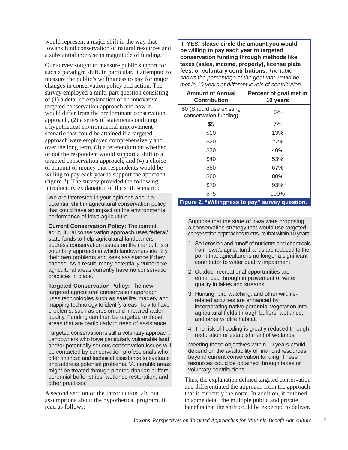would represent a major shift in the way that Iowans fund conservation of natural resources and a substantial increase in magnitude of funding.

Our survey sought to measure public support for such a paradigm shift. In particular, it attempted to measure the public's willingness to pay for major changes in conservation policy and action. The survey employed a multi-part question consisting of (1) a detailed explanation of an innovative targeted conservation approach and how it would differ from the predominant conservation approach, (2) a series of statements outlining a hypothetical environmental improvement scenario that could be attained if a targeted approach were employed comprehensively and over the long term, (3) a referendum on whether or not the respondent would support a shift to a targeted conservation approach, and (4) a choice of amount of money that respondents would be willing to pay each year to support the approach  $(f_{\text{figure 2}})$ . The survey provided the following introductory explanation of the shift scenario:

We are interested in your opinions about a potential shift in agricultural conservation policy that could have an impact on the environmental performance of Iowa agriculture.

**Current Conservation Policy:** The current agricultural conservation approach uses federal/ state funds to help agricultural landowners address conservation issues on their land. It is a voluntary approach in which landowners identify their own problems and seek assistance if they choose. As a result, many potentially vulnerable agricultural areas currently have no conservation practices in place.

**Targeted Conservation Policy:** The new targeted agricultural conservation approach uses technologies such as satellite imagery and mapping technology to identify areas likely to have problems, such as erosion and impaired water quality. Funding can then be targeted to those areas that are particularly in need of assistance.

Targeted conservation is still a voluntary approach. Landowners who have particularly vulnerable land and/or potentially serious conservation issues will be contacted by conservation professionals who offer financial and technical assistance to evaluate and address potential problems. Vulnerable areas might be treated through planted riparian buffers, perennial buffer strips, wetlands restoration, and other practices.

A second section of the introduction laid out assumptions about the hypothetical program. It read as follows:

**IF YES, please circle the amount you would be willing to pay each year to targeted conservation funding through methods like taxes (sales, income, property), license plate fees, or voluntary contributions.** *The table shows the percentage of the goal that would be met in 10 years at different levels of contribution.*

| Percent of goal met in<br>10 years |
|------------------------------------|
| $0\%$                              |
| 7%                                 |
| 13%                                |
| 27%                                |
| 40%                                |
| 53%                                |
| 67%                                |
| 80%                                |
| 93%                                |
| 100%                               |
|                                    |

#### **Figure 2. "Willingness to pay" survey question.**

Suppose that the state of Iowa were proposing a conservation strategy that would use targeted conservation approaches to ensure that within 10 years:

- 1. Soil erosion and runoff of nutrients and chemicals from Iowa's agricultural lands are reduced to the point that agriculture is no longer a significant contributor to water quality impairment.
- 2. Outdoor recreational opportunities are enhanced through improvement of water quality in lakes and streams.
- 3. Hunting, bird watching, and other wildliferelated activities are enhanced by incorporating native perennial vegetation into agricultural fields through buffers, wetlands, and other wildlife habitat.
- 4. The risk of flooding is greatly reduced through restoration or establishment of wetlands.

Meeting these objectives within 10 years would depend on the availability of financial resources beyond current conservation funding. These resources could be obtained through taxes or voluntary contributions.

Thus, the explanation defined targeted conservation and differentiated the approach from the approach that is currently the norm. In addition, it outlined in some detail the multiple public and private benefits that the shift could be expected to deliver.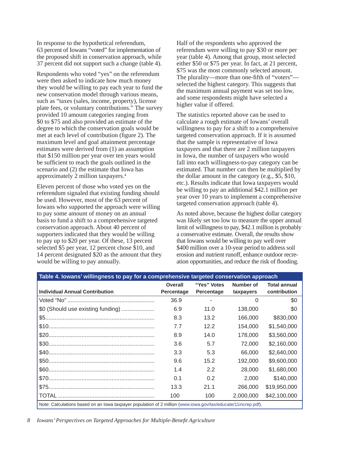In response to the hypothetical referendum, 63 percent of Iowans "voted" for implementation of the proposed shift in conservation approach, while 37 percent did not support such a change (table 4).

Respondents who voted "yes" on the referendum were then asked to indicate how much money they would be willing to pay each year to fund the new conservation model through various means, such as "taxes (sales, income, property), license plate fees, or voluntary contributions." The survey provided 10 amount categories ranging from \$0 to \$75 and also provided an estimate of the degree to which the conservation goals would be met at each level of contribution (figure 2). The maximum level and goal attainment percentage estimates were derived from (1) an assumption that \$150 million per year over ten years would be sufficient to reach the goals outlined in the scenario and (2) the estimate that Iowa has approximately 2 million taxpayers.4

Eleven percent of those who voted yes on the referendum signaled that existing funding should be used. However, most of the 63 percent of Iowans who supported the approach were willing to pay some amount of money on an annual basis to fund a shift to a comprehensive targeted conservation approach. About 40 percent of supporters indicated that they would be willing to pay up to \$20 per year. Of these, 13 percent selected \$5 per year, 12 percent chose \$10, and 14 percent designated \$20 as the amount that they would be willing to pay annually.

Half of the respondents who approved the referendum were willing to pay \$30 or more per year (table 4). Among that group, most selected either \$50 or \$75 per year. In fact, at 21 percent, \$75 was the most commonly selected amount. The plurality—more than one-fifth of "voters"selected the highest category. This suggests that the maximum annual payment was set too low, and some respondents might have selected a higher value if offered.

The statistics reported above can be used to calculate a rough estimate of Iowans' overall willingness to pay for a shift to a comprehensive targeted conservation approach. If it is assumed that the sample is representative of Iowa taxpayers and that there are 2 million taxpayers in Iowa, the number of taxpayers who would fall into each willingness-to-pay category can be estimated. That number can then be multiplied by the dollar amount in the category (e.g., \$5, \$10, etc.). Results indicate that Iowa taxpayers would be willing to pay an additional \$42.1 million per year over 10 years to implement a comprehensive targeted conservation approach (table 4).

As noted above, because the highest dollar category was likely set too low to measure the upper annual limit of willingness to pay, \$42.1 million is probably a conservative estimate. Overall, the results show that Iowans would be willing to pay well over \$400 million over a 10-year period to address soil erosion and nutrient runoff, enhance outdoor recreation opportunities, and reduce the risk of flooding.

| Table 4. Iowans' willingness to pay for a comprehensive targeted conservation approach |                                                                                                               |             |           |                     |  |  |  |  |
|----------------------------------------------------------------------------------------|---------------------------------------------------------------------------------------------------------------|-------------|-----------|---------------------|--|--|--|--|
|                                                                                        | Overall                                                                                                       | "Yes" Votes | Number of | <b>Total annual</b> |  |  |  |  |
| <b>Individual Annual Contribution</b>                                                  | Percentage                                                                                                    | Percentage  | taxpayers | contribution        |  |  |  |  |
|                                                                                        | 36.9                                                                                                          |             | 0         | \$0                 |  |  |  |  |
| \$0 (Should use existing funding)                                                      | 6.9                                                                                                           | 11.0        | 138,000   | \$0                 |  |  |  |  |
|                                                                                        | 8.3                                                                                                           | 13.2        | 166,000   | \$830,000           |  |  |  |  |
|                                                                                        | 7.7                                                                                                           | 12.2        | 154,000   | \$1.540,000         |  |  |  |  |
|                                                                                        | 8.9                                                                                                           | 14.0        | 178,000   | \$3,560,000         |  |  |  |  |
|                                                                                        | 3.6                                                                                                           | 5.7         | 72,000    | \$2.160,000         |  |  |  |  |
|                                                                                        | 3.3                                                                                                           | 5.3         | 66,000    | \$2,640,000         |  |  |  |  |
|                                                                                        | 9.6                                                                                                           | 15.2        | 192,000   | \$9,600,000         |  |  |  |  |
|                                                                                        | 1.4                                                                                                           | 2.2         | 28,000    | \$1,680,000         |  |  |  |  |
|                                                                                        | 0.1                                                                                                           | 0.2         | 2,000     | \$140,000           |  |  |  |  |
|                                                                                        | 13.3                                                                                                          | 21.1        | 266,000   | \$19,950,000        |  |  |  |  |
|                                                                                        | 100                                                                                                           | 100         | 2,000,000 | \$42,100,000        |  |  |  |  |
|                                                                                        | Note: Calculations based on an lowa taxpayer population of 2 million (www.iowa.gov/tax/educate/11increp.pdf). |             |           |                     |  |  |  |  |

*8 Iowans' Perspectives on Targeted Approaches for Multiple-Benefi t Agriculture*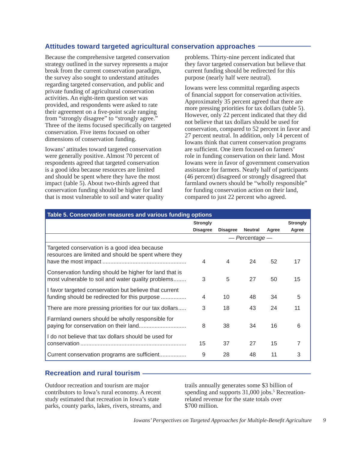### **Attitudes toward targeted agricultural conservation approaches**

Because the comprehensive targeted conservation strategy outlined in the survey represents a major break from the current conservation paradigm, the survey also sought to understand attitudes regarding targeted conservation, and public and private funding of agricultural conservation activities. An eight-item question set was provided, and respondents were asked to rate their agreement on a five-point scale ranging from "strongly disagree" to "strongly agree." Three of the items focused specifically on targeted conservation. Five items focused on other dimensions of conservation funding.

Iowans' attitudes toward targeted conservation were generally positive. Almost 70 percent of respondents agreed that targeted conservation is a good idea because resources are limited and should be spent where they have the most impact (table 5). About two-thirds agreed that conservation funding should be higher for land that is most vulnerable to soil and water quality problems. Thirty-nine percent indicated that they favor targeted conservation but believe that current funding should be redirected for this purpose (nearly half were neutral).

Iowans were less committal regarding aspects of financial support for conservation activities. Approximately 35 percent agreed that there are more pressing priorities for tax dollars (table 5). However, only 22 percent indicated that they did not believe that tax dollars should be used for conservation, compared to 52 percent in favor and 27 percent neutral. In addition, only 14 percent of Iowans think that current conservation programs are sufficient. One item focused on farmers' role in funding conservation on their land. Most Iowans were in favor of government conservation assistance for farmers. Nearly half of participants (46 percent) disagreed or strongly disagreed that farmland owners should be "wholly responsible" for funding conservation action on their land, compared to just 22 percent who agreed.

| Table 5. Conservation measures and various funding options                                                   |                 |                 |                |       |                 |
|--------------------------------------------------------------------------------------------------------------|-----------------|-----------------|----------------|-------|-----------------|
|                                                                                                              | <b>Strongly</b> |                 |                |       | <b>Strongly</b> |
|                                                                                                              | <b>Disagree</b> | <b>Disagree</b> | <b>Neutral</b> | Agree | Agree           |
|                                                                                                              |                 |                 | — Percentage — |       |                 |
| Targeted conservation is a good idea because<br>resources are limited and should be spent where they         | 4               | 4               | 24             | 52    | 17              |
| Conservation funding should be higher for land that is<br>most vulnerable to soil and water quality problems | 3               | 5               | 27             | 50    | 15              |
| I favor targeted conservation but believe that current<br>funding should be redirected for this purpose      | 4               | 10              | 48             | 34    | 5               |
| There are more pressing priorities for our tax dollars                                                       | 3               | 18              | 43             | 24    | 11              |
| Farmland owners should be wholly responsible for                                                             | 8               | 38              | 34             | 16    | 6               |
| I do not believe that tax dollars should be used for                                                         | 15              | 37              | 27             | 15    | 7               |
| Current conservation programs are sufficient                                                                 | 9               | 28              | 48             | 11    | 3               |

### **Recreation and rural tourism**

Outdoor recreation and tourism are major contributors to Iowa's rural economy. A recent study estimated that recreation in Iowa's state parks, county parks, lakes, rivers, streams, and trails annually generates some \$3 billion of spending and supports 31,000 jobs.<sup>5</sup> Recreationrelated revenue for the state totals over \$700 million.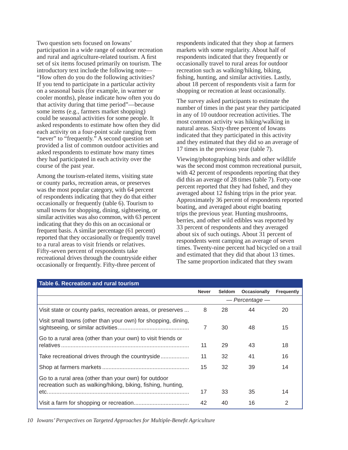Two question sets focused on Iowans' participation in a wide range of outdoor recreation and rural and agriculture-related tourism. A first set of six items focused primarily on tourism. The introductory text include the following note— "How often do you do the following activities? If you tend to participate in a particular activity on a seasonal basis (for example, in warmer or cooler months), please indicate how often you do that activity during that time period"—because some items (e.g., farmers market shopping) could be seasonal activities for some people. It asked respondents to estimate how often they did each activity on a four-point scale ranging from "never" to "frequently." A second question set provided a list of common outdoor activities and asked respondents to estimate how many times they had participated in each activity over the course of the past year.

Among the tourism-related items, visiting state or county parks, recreation areas, or preserves was the most popular category, with 64 percent of respondents indicating that they do that either occasionally or frequently (table 6). Tourism to small towns for shopping, dining, sightseeing, or similar activities was also common, with 63 percent indicating that they do this on an occasional or frequent basis. A similar percentage (61 percent) reported that they occasionally or frequently travel to a rural areas to visit friends or relatives. Fifty-seven percent of respondents take recreational drives through the countryside either occasionally or frequently. Fifty-three percent of

respondents indicated that they shop at farmers markets with some regularity. About half of respondents indicated that they frequently or occasionally travel to rural areas for outdoor recreation such as walking/hiking, biking, fishing, hunting, and similar activities. Lastly, about 18 percent of respondents visit a farm for shopping or recreation at least occasionally.

The survey asked participants to estimate the number of times in the past year they participated in any of 10 outdoor recreation activities. The most common activity was hiking/walking in natural areas. Sixty-three percent of Iowans indicated that they participated in this activity and they estimated that they did so an average of 17 times in the previous year (table 7).

Viewing/photographing birds and other wildlife was the second most common recreational pursuit, with 42 percent of respondents reporting that they did this an average of 28 times (table 7). Forty-one percent reported that they had fished, and they averaged about 12 fishing trips in the prior year. Approximately 36 percent of respondents reported boating, and averaged about eight boating trips the previous year. Hunting mushrooms, berries, and other wild edibles was reported by 33 percent of respondents and they averaged about six of such outings. About 31 percent of respondents went camping an average of seven times. Twenty-nine percent had bicycled on a trail and estimated that they did that about 13 times. The same proportion indicated that they swam

| Table 6. Recreation and rural tourism                                                                                |                |               |              |                   |
|----------------------------------------------------------------------------------------------------------------------|----------------|---------------|--------------|-------------------|
|                                                                                                                      | <b>Never</b>   | <b>Seldom</b> | Occasionally | <b>Frequently</b> |
|                                                                                                                      | — Percentage — |               |              |                   |
| Visit state or county parks, recreation areas, or preserves                                                          | 8              | 28            | 44           | 20                |
| Visit small towns (other than your own) for shopping, dining,                                                        | 7              | 30            | 48           | 15                |
| Go to a rural area (other than your own) to visit friends or                                                         | 11             | 29            | 43           | 18                |
| Take recreational drives through the countryside                                                                     | 11             | 32            | 41           | 16                |
|                                                                                                                      | 15             | 32            | 39           | 14                |
| Go to a rural area (other than your own) for outdoor<br>recreation such as walking/hiking, biking, fishing, hunting, |                |               |              |                   |
|                                                                                                                      | 17             | 33            | 35           | 14                |
|                                                                                                                      | 42             | 40            | 16           | 2                 |

*10 Iowans' Perspectives on Targeted Approaches for Multiple-Benefi t Agriculture*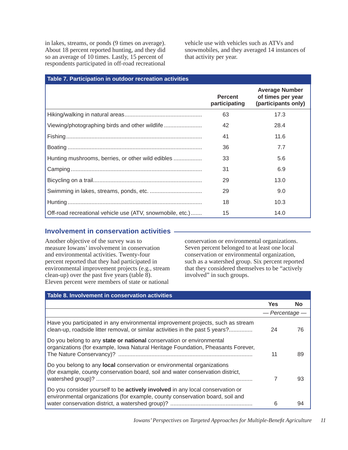in lakes, streams, or ponds (9 times on average). About 18 percent reported hunting, and they did so an average of 10 times. Lastly, 15 percent of respondents participated in off-road recreational vehicle use with vehicles such as ATVs and snowmobiles, and they averaged 14 instances of that activity per year.

| Table 7. Participation in outdoor recreation activities   |                                 |                                                                   |
|-----------------------------------------------------------|---------------------------------|-------------------------------------------------------------------|
|                                                           | <b>Percent</b><br>participating | <b>Average Number</b><br>of times per year<br>(participants only) |
|                                                           | 63                              | 17.3                                                              |
| Viewing/photographing birds and other wildlife            | 42                              | 28.4                                                              |
|                                                           | 41                              | 11.6                                                              |
|                                                           | 36                              | 7.7                                                               |
| Hunting mushrooms, berries, or other wild edibles         | 33                              | 5.6                                                               |
|                                                           | 31                              | 6.9                                                               |
|                                                           | 29                              | 13.0                                                              |
|                                                           | 29                              | 9.0                                                               |
|                                                           | 18                              | 10.3                                                              |
| Off-road recreational vehicle use (ATV, snowmobile, etc.) | 15                              | 14.0                                                              |

#### **Involvement in conservation activities**

Another objective of the survey was to measure Iowans' involvement in conservation and environmental activities. Twenty-four percent reported that they had participated in environmental improvement projects (e.g., stream clean-up) over the past five years (table  $8$ ). Eleven percent were members of state or national

conservation or environmental organizations. Seven percent belonged to at least one local conservation or environmental organization, such as a watershed group. Six percent reported that they considered themselves to be "actively involved" in such groups.

| Table 8. Involvement in conservation activities                                                                                                                       |                |     |
|-----------------------------------------------------------------------------------------------------------------------------------------------------------------------|----------------|-----|
|                                                                                                                                                                       | <b>Yes</b>     | No. |
|                                                                                                                                                                       | — Percentage - |     |
| Have you participated in any environmental improvement projects, such as stream<br>clean-up, roadside litter removal, or similar activities in the past 5 years?      | 24             | 76  |
| Do you belong to any state or national conservation or environmental<br>organizations (for example, Iowa Natural Heritage Foundation, Pheasants Forever,              | 11             | 89  |
| Do you belong to any <b>local</b> conservation or environmental organizations<br>(for example, county conservation board, soil and water conservation district,       |                | 93  |
| Do you consider yourself to be <b>actively involved</b> in any local conservation or<br>environmental organizations (for example, county conservation board, soil and | 6              | 94  |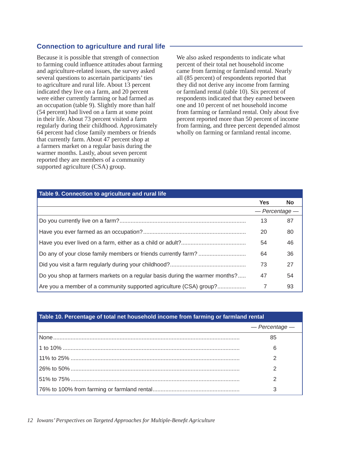## **Connection to agriculture and rural life**

Because it is possible that strength of connection to farming could influence attitudes about farming and agriculture-related issues, the survey asked several questions to ascertain participants' ties to agriculture and rural life. About 13 percent indicated they live on a farm, and 20 percent were either currently farming or had farmed as an occupation (table 9). Slightly more than half (54 percent) had lived on a farm at some point in their life. About 73 percent visited a farm regularly during their childhood. Approximately 64 percent had close family members or friends that currently farm. About 47 percent shop at a farmers market on a regular basis during the warmer months. Lastly, about seven percent reported they are members of a community supported agriculture (CSA) group.

We also asked respondents to indicate what percent of their total net household income came from farming or farmland rental. Nearly all (85 percent) of respondents reported that they did not derive any income from farming or farmland rental (table 10). Six percent of respondents indicated that they earned between one and 10 percent of net household income from farming or farmland rental. Only about five percent reported more than 50 percent of income from farming, and three percent depended almost wholly on farming or farmland rental income.

#### **Table 9. Connection to agriculture and rural life**

|                                                                             | <b>Yes</b>     | <b>No</b> |
|-----------------------------------------------------------------------------|----------------|-----------|
|                                                                             | — Percentage — |           |
|                                                                             | 13             | 87        |
|                                                                             | 20             | 80        |
|                                                                             | 54             | 46        |
|                                                                             | 64             | 36        |
|                                                                             | 73             | 27        |
| Do you shop at farmers markets on a regular basis during the warmer months? | 47             | 54        |
| Are you a member of a community supported agriculture (CSA) group?          | 7              | 93        |

| Table 10. Percentage of total net household income from farming or farmland rental |                |  |
|------------------------------------------------------------------------------------|----------------|--|
|                                                                                    | - Percentage - |  |
|                                                                                    | 85             |  |
|                                                                                    | 6              |  |
|                                                                                    |                |  |
|                                                                                    |                |  |
|                                                                                    |                |  |
|                                                                                    |                |  |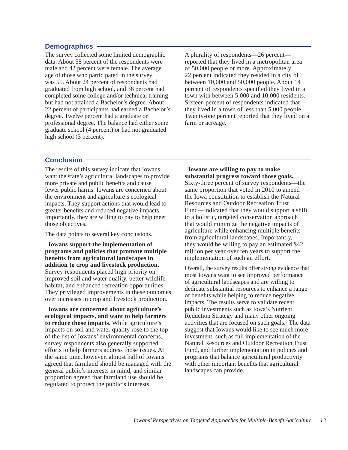#### **Demographics**

The survey collected some limited demographic data. About 58 percent of the respondents were male and 42 percent were female. The average age of those who participated in the survey was 55. About 24 percent of respondents had graduated from high school, and 36 percent had completed some college and/or technical training but had not attained a Bachelor's degree. About 22 percent of participants had earned a Bachelor's degree. Twelve percent had a graduate or professional degree. The balance had either some graduate school (4 percent) or had not graduated high school (3 percent).

A plurality of respondents—26 percent reported that they lived in a metropolitan area of 50,000 people or more. Approximately 22 percent indicated they resided in a city of between 10,000 and 50,000 people. About 14 percent of respondents specified they lived in a town with between 5,000 and 10,000 residents. Sixteen percent of respondents indicated that they lived in a town of less than 5,000 people. Twenty-one percent reported that they lived on a farm or acreage.

#### **Conclusion**

The results of this survey indicate that Iowans want the state's agricultural landscapes to provide more private and public benefits and cause fewer public harms. Iowans are concerned about the environment and agriculture's ecological impacts. They support actions that would lead to greater benefits and reduced negative impacts. Importantly, they are willing to pay to help meet those objectives.

The data points to several key conclusions.

**Iowans support the implementation of programs and policies that promote multiple benefi ts from agricultural landscapes in addition to crop and livestock production.**  Survey respondents placed high priority on improved soil and water quality, better wildlife habitat, and enhanced recreation opportunities. They privileged improvements in these outcomes over increases in crop and livestock production.

**Iowans are concerned about agriculture's ecological impacts, and want to help farmers to reduce those impacts.** While agriculture's impacts on soil and water quality rose to the top of the list of Iowans' environmental concerns, survey respondents also generally supported efforts to help farmers address those issues. At the same time, however, almost half of Iowans agreed that farmland should be managed with the general public's interests in mind, and similar proportion agreed that farmland use should be regulated to protect the public's interests.

**Iowans are willing to pay to make substantial progress toward those goals.**  Sixty-three percent of survey respondents—the same proportion that voted in 2010 to amend the Iowa constitution to establish the Natural Resources and Outdoor Recreation Trust Fund—indicated that they would support a shift to a holistic, targeted conservation approach that would minimize the negative impacts of agriculture while enhancing multiple benefits from agricultural landscapes. Importantly, they would be willing to pay an estimated \$42 million per year over ten years to support the implementation of such an effort.

Overall, the survey results offer strong evidence that most Iowans want to see improved performance of agricultural landscapes and are willing to dedicate substantial resources to enhance a range of benefits while helping to reduce negative impacts. The results serve to validate recent public investments such as Iowa's Nutrient Reduction Strategy and many other ongoing activities that are focused on such goals.<sup>6</sup> The data suggest that Iowans would like to see much more investment, such as full implementation of the Natural Resources and Outdoor Recreation Trust Fund, and further implementation in policies and programs that balance agricultural productivity with other important benefits that agricultural landscapes can provide.